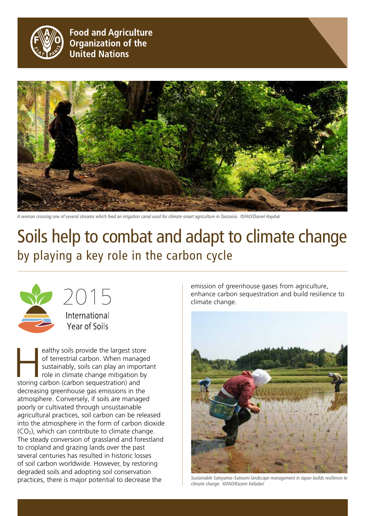

**Food and Agriculture Organization of the United Nations** 



*A woman crossing one of several streams which feed an irrigation canal used for climate-smart agriculture in Tanzania. ©FAO/Daniel Hayduk*

# Soils help to combat and adapt to climate change by playing a key role in the carbon cycle



2015 International

Year of Soils

ealthy soils provide the largest store of terrestrial carbon. When managed sustainably, soils can play an importance role in climate change mitigation by storing carbon (carbon sequestration) and of terrestrial carbon. When managed sustainably, soils can play an important role in climate change mitigation by decreasing greenhouse gas emissions in the atmosphere. Conversely, if soils are managed poorly or cultivated through unsustainable agricultural practices, soil carbon can be released into the atmosphere in the form of carbon dioxide (CO2), which can contribute to climate change. The steady conversion of grassland and forestland to cropland and grazing lands over the past several centuries has resulted in historic losses of soil carbon worldwide. However, by restoring degraded soils and adopting soil conservation practices, there is major potential to decrease the

emission of greenhouse gases from agriculture, enhance carbon sequestration and build resilience to climate change.



*Sustainable Satoyama–Satoumi landscape management in Japan builds resilience to climate change. ©FAO/Kazem Vafadari*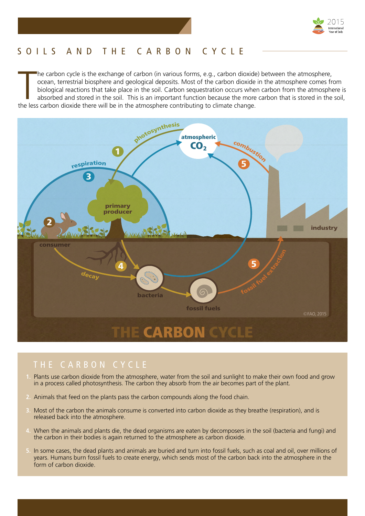

# S O ILS AN D T H E CA R B ON C Y C L E

The carbon cycle is the exchange of carbon (in various forms, e.g., carbon dioxide ocean, terrestrial biosphere and geological deposits. Most of the carbon dioxide biological reactions that take place in the soil. Carbon s he carbon cycle is the exchange of carbon (in various forms, e.g., carbon dioxide) between the atmosphere, ocean, terrestrial biosphere and geological deposits. Most of the carbon dioxide in the atmosphere comes from biological reactions that take place in the soil. Carbon sequestration occurs when carbon from the atmosphere is absorbed and stored in the soil. This is an important function because the more carbon that is stored in the soil,



- **1.** Plants use carbon dioxide from the atmosphere, water from the soil and sunlight to make their own food and grow in a process called photosynthesis. The carbon they absorb from the air becomes part of the plant.
- **2.** Animals that feed on the plants pass the carbon compounds along the food chain.
- **3.** Most of the carbon the animals consume is converted into carbon dioxide as they breathe (respiration), and is released back into the atmosphere.
- **4.** When the animals and plants die, the dead organisms are eaten by decomposers in the soil (bacteria and fungi) and the carbon in their bodies is again returned to the atmosphere as carbon dioxide.
- **5.** In some cases, the dead plants and animals are buried and turn into fossil fuels, such as coal and oil, over millions of years. Humans burn fossil fuels to create energy, which sends most of the carbon back into the atmosphere in the form of carbon dioxide.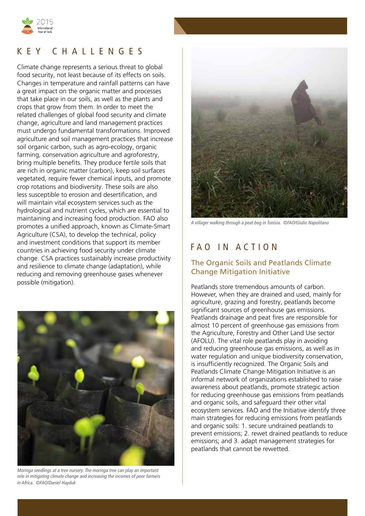

## K E Y C H A L L EN G E S

Climate change represents a serious threat to global food security, not least because of its effects on soils. Changes in temperature and rainfall patterns can have a great impact on the organic matter and processes that take place in our soils, as well as the plants and crops that grow from them. In order to meet the related challenges of global food security and climate change, agriculture and land management practices must undergo fundamental transformations. Improved agriculture and soil management practices that increase soil organic carbon, such as agro-ecology, organic farming, conservation agriculture and agroforestry, bring multiple benefits. They produce fertile soils that are rich in organic matter (carbon), keep soil surfaces vegetated, require fewer chemical inputs, and promote crop rotations and biodiversity. These soils are also less susceptible to erosion and desertification, and will maintain vital ecosystem services such as the hydrological and nutrient cycles, which are essential to maintaining and increasing food production. FAO also promotes a unified approach, known as Climate-Smart Agriculture (CSA), to develop the technical, policy and investment conditions that support its member countries in achieving food security under climate change. CSA practices sustainably increase productivity and resilience to climate change (adaptation), while reducing and removing greenhouse gases whenever possible (mitigation).



*Moringa seedlings at a tree nursery. The moringa tree can play an important role in mitigating climate change and increasing the incomes of poor farmers in Africa. ©FAO/Daniel Hayduk*



*A villager walking through a peat bog in Tunisia. ©FAO/Giulio Napolitano*

# FAO IN ACTION

#### The Organic Soils and Peatlands Climate Change Mitigation Initiative

Peatlands store tremendous amounts of carbon. However, when they are drained and used, mainly for agriculture, grazing and forestry, peatlands become significant sources of greenhouse gas emissions. Peatlands drainage and peat fires are responsible for almost 10 percent of greenhouse gas emissions from the Agriculture, Forestry and Other Land Use sector (AFOLU). The vital role peatlands play in avoiding and reducing greenhouse gas emissions, as well as in water regulation and unique biodiversity conservation, is insufficiently recognized. The Organic Soils and Peatlands Climate Change Mitigation Initiative is an informal network of organizations established to raise awareness about peatlands, promote strategic action for reducing greenhouse gas emissions from peatlands and organic soils, and safeguard their other vital ecosystem services. FAO and the Initiative identify three main strategies for reducing emissions from peatlands and organic soils: 1. secure undrained peatlands to prevent emissions; 2. rewet drained peatlands to reduce emissions; and 3. adapt management strategies for peatlands that cannot be rewetted.